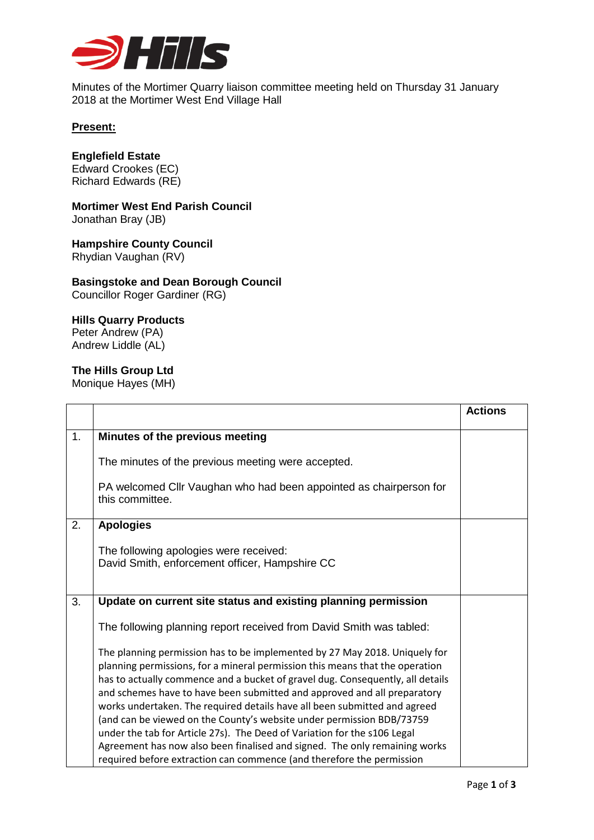

Minutes of the Mortimer Quarry liaison committee meeting held on Thursday 31 January 2018 at the Mortimer West End Village Hall

## **Present:**

# **Englefield Estate**

Edward Crookes (EC) Richard Edwards (RE)

**Mortimer West End Parish Council** Jonathan Bray (JB)

**Hampshire County Council** Rhydian Vaughan (RV)

#### **Basingstoke and Dean Borough Council** Councillor Roger Gardiner (RG)

## **Hills Quarry Products** Peter Andrew (PA)

Andrew Liddle (AL)

## **The Hills Group Ltd**

Monique Hayes (MH)

|    |                                                                                                                                                                                                                                                                                                                                                                                                                                                                                                                                                                                                                                                                                                                   | <b>Actions</b> |
|----|-------------------------------------------------------------------------------------------------------------------------------------------------------------------------------------------------------------------------------------------------------------------------------------------------------------------------------------------------------------------------------------------------------------------------------------------------------------------------------------------------------------------------------------------------------------------------------------------------------------------------------------------------------------------------------------------------------------------|----------------|
| 1. | Minutes of the previous meeting                                                                                                                                                                                                                                                                                                                                                                                                                                                                                                                                                                                                                                                                                   |                |
|    | The minutes of the previous meeting were accepted.                                                                                                                                                                                                                                                                                                                                                                                                                                                                                                                                                                                                                                                                |                |
|    | PA welcomed Cllr Vaughan who had been appointed as chairperson for<br>this committee.                                                                                                                                                                                                                                                                                                                                                                                                                                                                                                                                                                                                                             |                |
| 2. | <b>Apologies</b>                                                                                                                                                                                                                                                                                                                                                                                                                                                                                                                                                                                                                                                                                                  |                |
|    | The following apologies were received:<br>David Smith, enforcement officer, Hampshire CC                                                                                                                                                                                                                                                                                                                                                                                                                                                                                                                                                                                                                          |                |
| 3. | Update on current site status and existing planning permission                                                                                                                                                                                                                                                                                                                                                                                                                                                                                                                                                                                                                                                    |                |
|    | The following planning report received from David Smith was tabled:                                                                                                                                                                                                                                                                                                                                                                                                                                                                                                                                                                                                                                               |                |
|    | The planning permission has to be implemented by 27 May 2018. Uniquely for<br>planning permissions, for a mineral permission this means that the operation<br>has to actually commence and a bucket of gravel dug. Consequently, all details<br>and schemes have to have been submitted and approved and all preparatory<br>works undertaken. The required details have all been submitted and agreed<br>(and can be viewed on the County's website under permission BDB/73759<br>under the tab for Article 27s). The Deed of Variation for the s106 Legal<br>Agreement has now also been finalised and signed. The only remaining works<br>required before extraction can commence (and therefore the permission |                |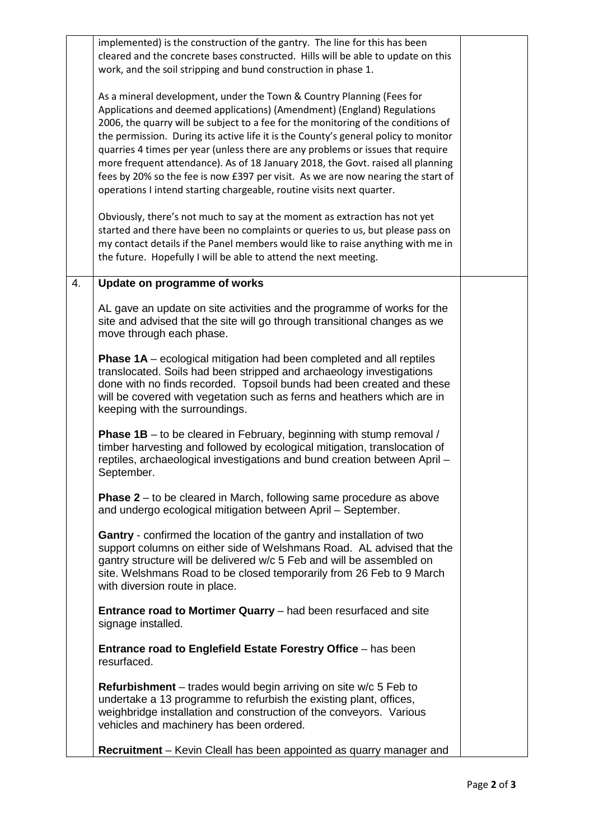|    | implemented) is the construction of the gantry. The line for this has been<br>cleared and the concrete bases constructed. Hills will be able to update on this                                                                                                                                                                                                                                                                                                                                     |  |
|----|----------------------------------------------------------------------------------------------------------------------------------------------------------------------------------------------------------------------------------------------------------------------------------------------------------------------------------------------------------------------------------------------------------------------------------------------------------------------------------------------------|--|
|    | work, and the soil stripping and bund construction in phase 1.                                                                                                                                                                                                                                                                                                                                                                                                                                     |  |
|    | As a mineral development, under the Town & Country Planning (Fees for<br>Applications and deemed applications) (Amendment) (England) Regulations<br>2006, the quarry will be subject to a fee for the monitoring of the conditions of<br>the permission. During its active life it is the County's general policy to monitor<br>quarries 4 times per year (unless there are any problems or issues that require<br>more frequent attendance). As of 18 January 2018, the Govt. raised all planning |  |
|    | fees by 20% so the fee is now £397 per visit. As we are now nearing the start of<br>operations I intend starting chargeable, routine visits next quarter.                                                                                                                                                                                                                                                                                                                                          |  |
|    | Obviously, there's not much to say at the moment as extraction has not yet<br>started and there have been no complaints or queries to us, but please pass on<br>my contact details if the Panel members would like to raise anything with me in<br>the future. Hopefully I will be able to attend the next meeting.                                                                                                                                                                                |  |
| 4. | Update on programme of works                                                                                                                                                                                                                                                                                                                                                                                                                                                                       |  |
|    | AL gave an update on site activities and the programme of works for the<br>site and advised that the site will go through transitional changes as we<br>move through each phase.                                                                                                                                                                                                                                                                                                                   |  |
|    | Phase 1A - ecological mitigation had been completed and all reptiles<br>translocated. Soils had been stripped and archaeology investigations<br>done with no finds recorded. Topsoil bunds had been created and these<br>will be covered with vegetation such as ferns and heathers which are in<br>keeping with the surroundings.                                                                                                                                                                 |  |
|    | <b>Phase 1B</b> – to be cleared in February, beginning with stump removal /<br>timber harvesting and followed by ecological mitigation, translocation of<br>reptiles, archaeological investigations and bund creation between April -<br>September.                                                                                                                                                                                                                                                |  |
|    | <b>Phase 2</b> – to be cleared in March, following same procedure as above<br>and undergo ecological mitigation between April - September.                                                                                                                                                                                                                                                                                                                                                         |  |
|    | <b>Gantry</b> - confirmed the location of the gantry and installation of two<br>support columns on either side of Welshmans Road. AL advised that the<br>gantry structure will be delivered w/c 5 Feb and will be assembled on<br>site. Welshmans Road to be closed temporarily from 26 Feb to 9 March<br>with diversion route in place.                                                                                                                                                           |  |
|    | <b>Entrance road to Mortimer Quarry</b> – had been resurfaced and site<br>signage installed.                                                                                                                                                                                                                                                                                                                                                                                                       |  |
|    | Entrance road to Englefield Estate Forestry Office - has been<br>resurfaced.                                                                                                                                                                                                                                                                                                                                                                                                                       |  |
|    | <b>Refurbishment</b> – trades would begin arriving on site w/c 5 Feb to<br>undertake a 13 programme to refurbish the existing plant, offices,<br>weighbridge installation and construction of the conveyors. Various<br>vehicles and machinery has been ordered.                                                                                                                                                                                                                                   |  |
|    | Recruitment - Kevin Cleall has been appointed as quarry manager and                                                                                                                                                                                                                                                                                                                                                                                                                                |  |